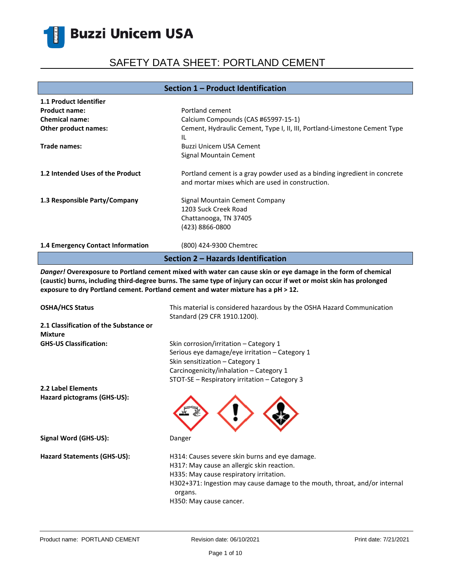# SAFETY DATA SHEET: PORTLAND CEMENT

#### **Section 1 – Product Identification**

| <b>1.1 Product Identifier</b>      |                                                                                                                               |  |
|------------------------------------|-------------------------------------------------------------------------------------------------------------------------------|--|
| <b>Product name:</b>               | Portland cement                                                                                                               |  |
| <b>Chemical name:</b>              | Calcium Compounds (CAS #65997-15-1)                                                                                           |  |
| Other product names:               | Cement, Hydraulic Cement, Type I, II, III, Portland-Limestone Cement Type<br>IL                                               |  |
| Trade names:                       | Buzzi Unicem USA Cement                                                                                                       |  |
|                                    | Signal Mountain Cement                                                                                                        |  |
| 1.2 Intended Uses of the Product   | Portland cement is a gray powder used as a binding ingredient in concrete<br>and mortar mixes which are used in construction. |  |
| 1.3 Responsible Party/Company      | Signal Mountain Cement Company<br>1203 Suck Creek Road<br>Chattanooga, TN 37405<br>(423) 8866-0800                            |  |
| 1.4 Emergency Contact Information  | (800) 424-9300 Chemtrec                                                                                                       |  |
| Section 2 - Hazards Identification |                                                                                                                               |  |

*Danger!* **Overexposure to Portland cement mixed with water can cause skin or eye damage in the form of chemical (caustic) burns, including third-degree burns. The same type of injury can occur if wet or moist skin has prolonged exposure to dry Portland cement. Portland cement and water mixture has a pH ˃ 12.**

| <b>OSHA/HCS Status</b>                                   | This material is considered hazardous by the OSHA Hazard Communication<br>Standard (29 CFR 1910.1200). |
|----------------------------------------------------------|--------------------------------------------------------------------------------------------------------|
| 2.1 Classification of the Substance or<br><b>Mixture</b> |                                                                                                        |
| <b>GHS-US Classification:</b>                            | Skin corrosion/irritation – Category 1                                                                 |
|                                                          | Serious eye damage/eye irritation - Category 1                                                         |
|                                                          | Skin sensitization - Category 1                                                                        |
|                                                          | Carcinogenicity/inhalation - Category 1                                                                |
|                                                          | STOT-SE - Respiratory irritation - Category 3                                                          |
| <b>2.2 Label Elements</b>                                |                                                                                                        |
| Hazard pictograms (GHS-US):                              |                                                                                                        |
| Signal Word (GHS-US):                                    | Danger                                                                                                 |
| Hazard Statements (GHS-US):                              | H314: Causes severe skin burns and eye damage.                                                         |
|                                                          | H317: May cause an allergic skin reaction.                                                             |
|                                                          | H335: May cause respiratory irritation.                                                                |
|                                                          | H302+371: Ingestion may cause damage to the mouth, throat, and/or internal<br>organs.                  |
|                                                          | H350: May cause cancer.                                                                                |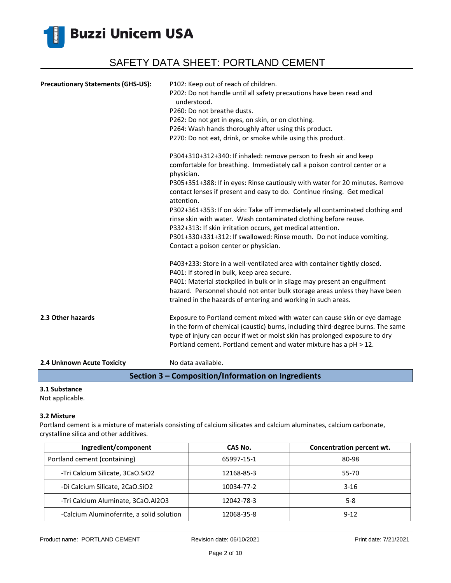

| <b>Precautionary Statements (GHS-US):</b> | P102: Keep out of reach of children.<br>P202: Do not handle until all safety precautions have been read and<br>understood.<br>P260: Do not breathe dusts.<br>P262: Do not get in eyes, on skin, or on clothing.<br>P264: Wash hands thoroughly after using this product.<br>P270: Do not eat, drink, or smoke while using this product.            |
|-------------------------------------------|----------------------------------------------------------------------------------------------------------------------------------------------------------------------------------------------------------------------------------------------------------------------------------------------------------------------------------------------------|
|                                           | P304+310+312+340: If inhaled: remove person to fresh air and keep<br>comfortable for breathing. Immediately call a poison control center or a<br>physician.<br>P305+351+388: If in eyes: Rinse cautiously with water for 20 minutes. Remove<br>contact lenses if present and easy to do. Continue rinsing. Get medical                             |
|                                           | attention.<br>P302+361+353: If on skin: Take off immediately all contaminated clothing and<br>rinse skin with water. Wash contaminated clothing before reuse.<br>P332+313: If skin irritation occurs, get medical attention.<br>P301+330+331+312: If swallowed: Rinse mouth. Do not induce vomiting.<br>Contact a poison center or physician.      |
|                                           | P403+233: Store in a well-ventilated area with container tightly closed.<br>P401: If stored in bulk, keep area secure.<br>P401: Material stockpiled in bulk or in silage may present an engulfment<br>hazard. Personnel should not enter bulk storage areas unless they have been<br>trained in the hazards of entering and working in such areas. |
| 2.3 Other hazards                         | Exposure to Portland cement mixed with water can cause skin or eye damage<br>in the form of chemical (caustic) burns, including third-degree burns. The same<br>type of injury can occur if wet or moist skin has prolonged exposure to dry<br>Portland cement. Portland cement and water mixture has a pH > 12.                                   |
| 2.4 Unknown Acute Toxicity                | No data available.                                                                                                                                                                                                                                                                                                                                 |

### **Section 3 – Composition/Information on Ingredients**

### **3.1 Substance**

Not applicable.

#### **3.2 Mixture**

Portland cement is a mixture of materials consisting of calcium silicates and calcium aluminates, calcium carbonate, crystalline silica and other additives.

| Ingredient/component                      | CAS No.    | Concentration percent wt. |
|-------------------------------------------|------------|---------------------------|
| Portland cement (containing)              | 65997-15-1 | 80-98                     |
| -Tri Calcium Silicate, 3CaO.SiO2          | 12168-85-3 | 55-70                     |
| -Di Calcium Silicate, 2CaO.SiO2           | 10034-77-2 | $3-16$                    |
| -Tri Calcium Aluminate, 3CaO.Al2O3        | 12042-78-3 | $5-8$                     |
| -Calcium Aluminoferrite, a solid solution | 12068-35-8 | $9 - 12$                  |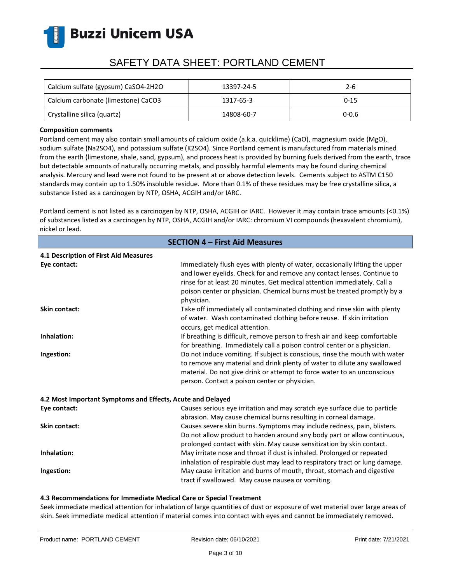

# SAFETY DATA SHEET: PORTLAND CEMENT

| Calcium sulfate (gypsum) CaSO4-2H2O | 13397-24-5 | 2-6       |
|-------------------------------------|------------|-----------|
| Calcium carbonate (limestone) CaCO3 | 1317-65-3  | $0 - 15$  |
| Crystalline silica (quartz)         | 14808-60-7 | $0 - 0.6$ |

#### **Composition comments**

Portland cement may also contain small amounts of calcium oxide (a.k.a. quicklime) (CaO), magnesium oxide (MgO), sodium sulfate (Na2SO4), and potassium sulfate (K2SO4). Since Portland cement is manufactured from materials mined from the earth (limestone, shale, sand, gypsum), and process heat is provided by burning fuels derived from the earth, trace but detectable amounts of naturally occurring metals, and possibly harmful elements may be found during chemical analysis. Mercury and lead were not found to be present at or above detection levels. Cements subject to ASTM C150 standards may contain up to 1.50% insoluble residue. More than 0.1% of these residues may be free crystalline silica, a substance listed as a carcinogen by NTP, OSHA, ACGIH and/or IARC.

Portland cement is not listed as a carcinogen by NTP, OSHA, ACGIH or IARC. However it may contain trace amounts (<0.1%) of substances listed as a carcinogen by NTP, OSHA, ACGIH and/or IARC: chromium VI compounds (hexavalent chromium), nickel or lead.

| <b>SECTION 4 - First Aid Measures</b>                      |                                                                                                                                                                                                                                                                                                                              |  |
|------------------------------------------------------------|------------------------------------------------------------------------------------------------------------------------------------------------------------------------------------------------------------------------------------------------------------------------------------------------------------------------------|--|
| 4.1 Description of First Aid Measures                      |                                                                                                                                                                                                                                                                                                                              |  |
| Eye contact:                                               | Immediately flush eyes with plenty of water, occasionally lifting the upper<br>and lower eyelids. Check for and remove any contact lenses. Continue to<br>rinse for at least 20 minutes. Get medical attention immediately. Call a<br>poison center or physician. Chemical burns must be treated promptly by a<br>physician. |  |
| Skin contact:                                              | Take off immediately all contaminated clothing and rinse skin with plenty<br>of water. Wash contaminated clothing before reuse. If skin irritation<br>occurs, get medical attention.                                                                                                                                         |  |
| Inhalation:                                                | If breathing is difficult, remove person to fresh air and keep comfortable<br>for breathing. Immediately call a poison control center or a physician.                                                                                                                                                                        |  |
| Ingestion:                                                 | Do not induce vomiting. If subject is conscious, rinse the mouth with water<br>to remove any material and drink plenty of water to dilute any swallowed<br>material. Do not give drink or attempt to force water to an unconscious<br>person. Contact a poison center or physician.                                          |  |
| 4.2 Most Important Symptoms and Effects, Acute and Delayed |                                                                                                                                                                                                                                                                                                                              |  |
| Eye contact:                                               | Causes serious eye irritation and may scratch eye surface due to particle<br>abrasion. May cause chemical burns resulting in corneal damage.                                                                                                                                                                                 |  |
| <b>Skin contact:</b>                                       | Causes severe skin burns. Symptoms may include redness, pain, blisters.<br>Do not allow product to harden around any body part or allow continuous,<br>prolonged contact with skin. May cause sensitization by skin contact.                                                                                                 |  |
| Inhalation:                                                | May irritate nose and throat if dust is inhaled. Prolonged or repeated<br>inhalation of respirable dust may lead to respiratory tract or lung damage.                                                                                                                                                                        |  |
| Ingestion:                                                 | May cause irritation and burns of mouth, throat, stomach and digestive<br>tract if swallowed. May cause nausea or vomiting.                                                                                                                                                                                                  |  |

#### **4.3 Recommendations for Immediate Medical Care or Special Treatment**

Seek immediate medical attention for inhalation of large quantities of dust or exposure of wet material over large areas of skin. Seek immediate medical attention if material comes into contact with eyes and cannot be immediately removed.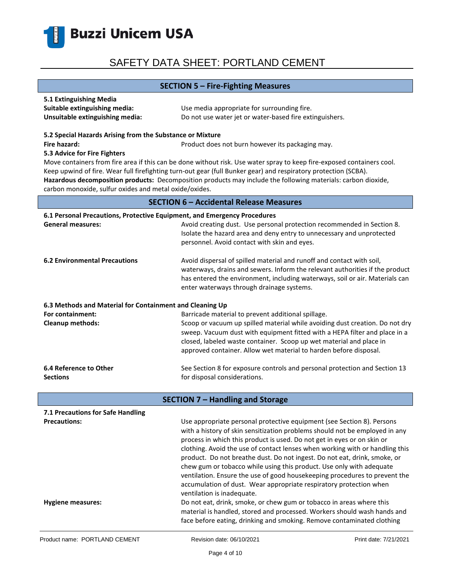

#### **SECTION 5 – Fire-Fighting Measures**

| 5.1 Extinguishing Media         |                                                         |
|---------------------------------|---------------------------------------------------------|
| Suitable extinguishing media:   | Use media appropriate for surrounding fire.             |
| Unsuitable extinguishing media: | Do not use water jet or water-based fire extinguishers. |

#### **5.2 Special Hazards Arising from the Substance or Mixture**

**Fire hazard: Product does not burn however its packaging may.** Product does not burn however its packaging may.

#### **5.3 Advice for Fire Fighters**

Move containers from fire area if this can be done without risk. Use water spray to keep fire-exposed containers cool. Keep upwind of fire. Wear full firefighting turn-out gear (full Bunker gear) and respiratory protection (SCBA). **Hazardous decomposition products:** Decomposition products may include the following materials: carbon dioxide, carbon monoxide, sulfur oxides and metal oxide/oxides.

#### **SECTION 6 – Accidental Release Measures**

| 6.1 Personal Precautions, Protective Equipment, and Emergency Procedures |                                                                                                                                                                                                                                                                                    |  |
|--------------------------------------------------------------------------|------------------------------------------------------------------------------------------------------------------------------------------------------------------------------------------------------------------------------------------------------------------------------------|--|
| <b>General measures:</b>                                                 | Avoid creating dust. Use personal protection recommended in Section 8.<br>Isolate the hazard area and deny entry to unnecessary and unprotected<br>personnel. Avoid contact with skin and eyes.                                                                                    |  |
| <b>6.2 Environmental Precautions</b>                                     | Avoid dispersal of spilled material and runoff and contact with soil,<br>waterways, drains and sewers. Inform the relevant authorities if the product<br>has entered the environment, including waterways, soil or air. Materials can<br>enter waterways through drainage systems. |  |
| 6.3 Methods and Material for Containment and Cleaning Up                 |                                                                                                                                                                                                                                                                                    |  |
| For containment:                                                         | Barricade material to prevent additional spillage.                                                                                                                                                                                                                                 |  |
| <b>Cleanup methods:</b>                                                  | Scoop or vacuum up spilled material while avoiding dust creation. Do not dry                                                                                                                                                                                                       |  |
|                                                                          | sweep. Vacuum dust with equipment fitted with a HEPA filter and place in a                                                                                                                                                                                                         |  |
|                                                                          | closed, labeled waste container. Scoop up wet material and place in                                                                                                                                                                                                                |  |
|                                                                          | approved container. Allow wet material to harden before disposal.                                                                                                                                                                                                                  |  |
| 6.4 Reference to Other                                                   | See Section 8 for exposure controls and personal protection and Section 13                                                                                                                                                                                                         |  |
| <b>Sections</b>                                                          | for disposal considerations.                                                                                                                                                                                                                                                       |  |
|                                                                          |                                                                                                                                                                                                                                                                                    |  |
|                                                                          | <b>SECTION 7 - Handling and Storage</b>                                                                                                                                                                                                                                            |  |
| 7.1 Precautions for Safe Handling                                        |                                                                                                                                                                                                                                                                                    |  |
| <b>Precautions:</b>                                                      | Use appropriate personal protective equipment (see Section 8). Persons                                                                                                                                                                                                             |  |
|                                                                          | with a history of skin sensitization problems should not be employed in any                                                                                                                                                                                                        |  |
|                                                                          | process in which this product is used. Do not get in eyes or on skin or<br>clothing. Avoid the use of contact lenses when working with or handling this                                                                                                                            |  |
|                                                                          | product. Do not breathe dust. Do not ingest. Do not eat, drink, smoke, or                                                                                                                                                                                                          |  |
|                                                                          | chew gum or tobacco while using this product. Use only with adequate                                                                                                                                                                                                               |  |
|                                                                          | ventilation. Ensure the use of good housekeeping procedures to prevent the                                                                                                                                                                                                         |  |

**Hygiene measures:** Do not eat, drink, smoke, or chew gum or tobacco in areas where this

ventilation is inadequate.

accumulation of dust. Wear appropriate respiratory protection when

material is handled, stored and processed. Workers should wash hands and face before eating, drinking and smoking. Remove contaminated clothing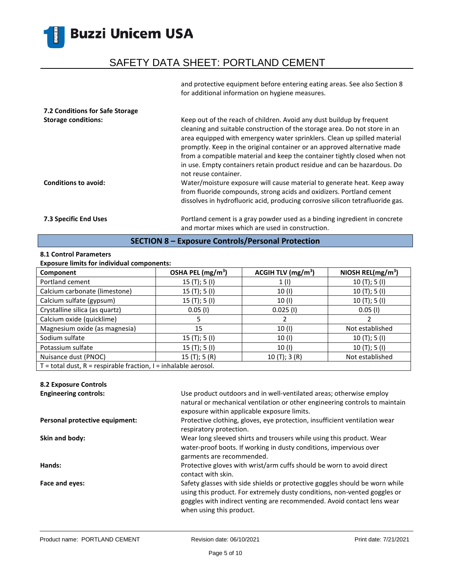### SAFETY DATA SHEET: PORTLAND CEMENT

and protective equipment before entering eating areas. See also Section 8 for additional information on hygiene measures.

| 7.2 Conditions for Safe Storage<br><b>Storage conditions:</b> | Keep out of the reach of children. Avoid any dust buildup by frequent<br>cleaning and suitable construction of the storage area. Do not store in an<br>area equipped with emergency water sprinklers. Clean up spilled material<br>promptly. Keep in the original container or an approved alternative made                                                                                                        |
|---------------------------------------------------------------|--------------------------------------------------------------------------------------------------------------------------------------------------------------------------------------------------------------------------------------------------------------------------------------------------------------------------------------------------------------------------------------------------------------------|
| <b>Conditions to avoid:</b>                                   | from a compatible material and keep the container tightly closed when not<br>in use. Empty containers retain product residue and can be hazardous. Do<br>not reuse container.<br>Water/moisture exposure will cause material to generate heat. Keep away<br>from fluoride compounds, strong acids and oxidizers. Portland cement<br>dissolves in hydrofluoric acid, producing corrosive silicon tetrafluoride gas. |
| <b>7.3 Specific End Uses</b>                                  | Portland cement is a gray powder used as a binding ingredient in concrete<br>and mortar mixes which are used in construction.                                                                                                                                                                                                                                                                                      |

### **SECTION 8 – Exposure Controls/Personal Protection**

### **8.1 Control Parameters**

### **Exposure limits for individual components:**

| Component                                                             | OSHA PEL (mg/m <sup>3</sup> ) | ACGIH TLV $(mg/m3)$ | NIOSH REL( $mg/m3$ ) |
|-----------------------------------------------------------------------|-------------------------------|---------------------|----------------------|
| Portland cement                                                       | 15(T); 5(I)                   | 1(1)                | 10(T); 5(I)          |
| Calcium carbonate (limestone)                                         | 15(T); 5(I)                   | 10(1)               | 10(T); 5(I)          |
| Calcium sulfate (gypsum)                                              | 15(T); 5(I)                   | 10 (I)              | 10(T); 5(I)          |
| Crystalline silica (as quartz)                                        | $0.05$ (I)                    | $0.025$ (I)         | $0.05$ (I)           |
| Calcium oxide (quicklime)                                             | 5                             |                     |                      |
| Magnesium oxide (as magnesia)                                         | 15                            | 10(1)               | Not established      |
| Sodium sulfate                                                        | 15(T); 5(I)                   | 10(1)               | 10(T); 5(I)          |
| Potassium sulfate                                                     | 15(T); 5(I)                   | 10(1)               | 10(T); 5(I)          |
| Nuisance dust (PNOC)                                                  | 15(T); 5(R)                   | 10(T); 3(R)         | Not established      |
| $T =$ total dust, $R =$ respirable fraction, $I =$ inhalable aerosol. |                               |                     |                      |

### **8.2 Exposure Controls**

| <b>Engineering controls:</b>   | Use product outdoors and in well-ventilated areas; otherwise employ<br>natural or mechanical ventilation or other engineering controls to maintain<br>exposure within applicable exposure limits.                                                              |
|--------------------------------|----------------------------------------------------------------------------------------------------------------------------------------------------------------------------------------------------------------------------------------------------------------|
| Personal protective equipment: | Protective clothing, gloves, eye protection, insufficient ventilation wear<br>respiratory protection.                                                                                                                                                          |
| Skin and body:                 | Wear long sleeved shirts and trousers while using this product. Wear<br>water-proof boots. If working in dusty conditions, impervious over<br>garments are recommended.                                                                                        |
| Hands:                         | Protective gloves with wrist/arm cuffs should be worn to avoid direct<br>contact with skin.                                                                                                                                                                    |
| Face and eyes:                 | Safety glasses with side shields or protective goggles should be worn while<br>using this product. For extremely dusty conditions, non-vented goggles or<br>goggles with indirect venting are recommended. Avoid contact lens wear<br>when using this product. |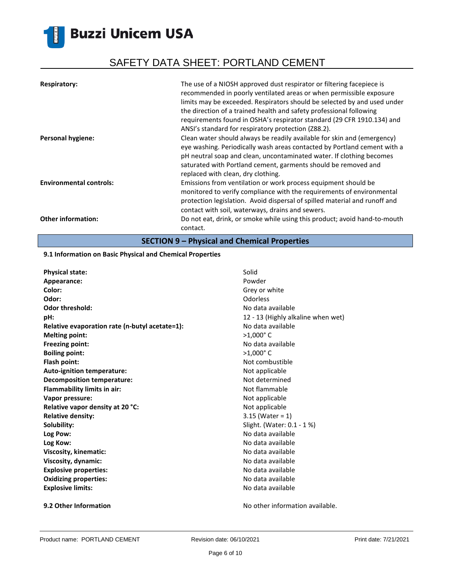# SAFETY DATA SHEET: PORTLAND CEMENT

| <b>Respiratory:</b>            | The use of a NIOSH approved dust respirator or filtering facepiece is<br>recommended in poorly ventilated areas or when permissible exposure<br>limits may be exceeded. Respirators should be selected by and used under<br>the direction of a trained health and safety professional following<br>requirements found in OSHA's respirator standard (29 CFR 1910.134) and<br>ANSI's standard for respiratory protection (Z88.2). |
|--------------------------------|----------------------------------------------------------------------------------------------------------------------------------------------------------------------------------------------------------------------------------------------------------------------------------------------------------------------------------------------------------------------------------------------------------------------------------|
| <b>Personal hygiene:</b>       | Clean water should always be readily available for skin and (emergency)<br>eye washing. Periodically wash areas contacted by Portland cement with a<br>pH neutral soap and clean, uncontaminated water. If clothing becomes<br>saturated with Portland cement, garments should be removed and<br>replaced with clean, dry clothing.                                                                                              |
| <b>Environmental controls:</b> | Emissions from ventilation or work process equipment should be<br>monitored to verify compliance with the requirements of environmental<br>protection legislation. Avoid dispersal of spilled material and runoff and<br>contact with soil, waterways, drains and sewers.                                                                                                                                                        |
| <b>Other information:</b>      | Do not eat, drink, or smoke while using this product; avoid hand-to-mouth<br>contact.                                                                                                                                                                                                                                                                                                                                            |

**SECTION 9 – Physical and Chemical Properties**

#### **9.1 Information on Basic Physical and Chemical Properties**

| <b>Physical state:</b>                         | Solid                              |
|------------------------------------------------|------------------------------------|
| Appearance:                                    | Powder                             |
| Color:                                         | Grey or white                      |
| Odor:                                          | Odorless                           |
| <b>Odor threshold:</b>                         | No data available                  |
| pH:                                            | 12 - 13 (Highly alkaline when wet) |
| Relative evaporation rate (n-butyl acetate=1): | No data available                  |
| <b>Melting point:</b>                          | $>1,000$ °C                        |
| Freezing point:                                | No data available                  |
| <b>Boiling point:</b>                          | $>1,000$ °C                        |
| Flash point:                                   | Not combustible                    |
| Auto-ignition temperature:                     | Not applicable                     |
| <b>Decomposition temperature:</b>              | Not determined                     |
| <b>Flammability limits in air:</b>             | Not flammable                      |
| Vapor pressure:                                | Not applicable                     |
| Relative vapor density at 20 °C:               | Not applicable                     |
| <b>Relative density:</b>                       | $3.15$ (Water = 1)                 |
| Solubility:                                    | Slight. (Water: 0.1 - 1 %)         |
| Log Pow:                                       | No data available                  |
| Log Kow:                                       | No data available                  |
| Viscosity, kinematic:                          | No data available                  |
| Viscosity, dynamic:                            | No data available                  |
| <b>Explosive properties:</b>                   | No data available                  |
| <b>Oxidizing properties:</b>                   | No data available                  |
| <b>Explosive limits:</b>                       | No data available                  |
|                                                |                                    |

**9.2 Other Information 19.2 Other Information No other information available.**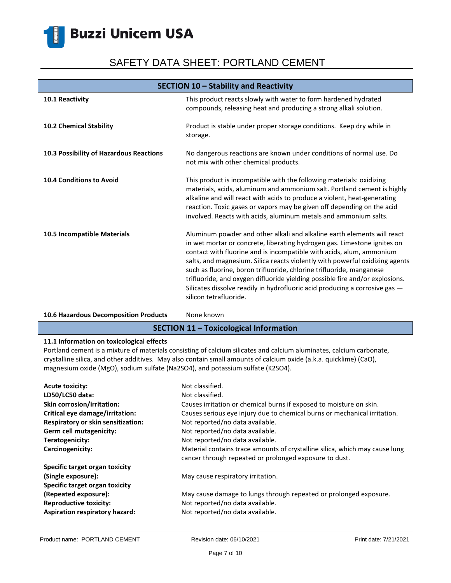# SAFETY DATA SHEET: PORTLAND CEMENT

| SECTION 10 - Stability and Reactivity   |                                                                                                                                                                                                                                                                                                                                                                                                                                                                                                                                                                              |
|-----------------------------------------|------------------------------------------------------------------------------------------------------------------------------------------------------------------------------------------------------------------------------------------------------------------------------------------------------------------------------------------------------------------------------------------------------------------------------------------------------------------------------------------------------------------------------------------------------------------------------|
| 10.1 Reactivity                         | This product reacts slowly with water to form hardened hydrated<br>compounds, releasing heat and producing a strong alkali solution.                                                                                                                                                                                                                                                                                                                                                                                                                                         |
| 10.2 Chemical Stability                 | Product is stable under proper storage conditions. Keep dry while in<br>storage.                                                                                                                                                                                                                                                                                                                                                                                                                                                                                             |
| 10.3 Possibility of Hazardous Reactions | No dangerous reactions are known under conditions of normal use. Do<br>not mix with other chemical products.                                                                                                                                                                                                                                                                                                                                                                                                                                                                 |
| <b>10.4 Conditions to Avoid</b>         | This product is incompatible with the following materials: oxidizing<br>materials, acids, aluminum and ammonium salt. Portland cement is highly<br>alkaline and will react with acids to produce a violent, heat-generating<br>reaction. Toxic gases or vapors may be given off depending on the acid<br>involved. Reacts with acids, aluminum metals and ammonium salts.                                                                                                                                                                                                    |
| 10.5 Incompatible Materials             | Aluminum powder and other alkali and alkaline earth elements will react<br>in wet mortar or concrete, liberating hydrogen gas. Limestone ignites on<br>contact with fluorine and is incompatible with acids, alum, ammonium<br>salts, and magnesium. Silica reacts violently with powerful oxidizing agents<br>such as fluorine, boron trifluoride, chlorine trifluoride, manganese<br>trifluoride, and oxygen difluoride yielding possible fire and/or explosions.<br>Silicates dissolve readily in hydrofluoric acid producing a corrosive gas -<br>silicon tetrafluoride. |

#### 10.6 Hazardous Decomposition Products None known

### **SECTION 11 – Toxicological Information**

### **11.1 Information on toxicological effects**

Portland cement is a mixture of materials consisting of calcium silicates and calcium aluminates, calcium carbonate, crystalline silica, and other additives. May also contain small amounts of calcium oxide (a.k.a. quicklime) (CaO), magnesium oxide (MgO), sodium sulfate (Na2SO4), and potassium sulfate (K2SO4).

| <b>Acute toxicity:</b><br>LD50/LC50 data: | Not classified.<br>Not classified.                                                                                                    |
|-------------------------------------------|---------------------------------------------------------------------------------------------------------------------------------------|
| <b>Skin corrosion/irritation:</b>         | Causes irritation or chemical burns if exposed to moisture on skin.                                                                   |
| Critical eye damage/irritation:           | Causes serious eye injury due to chemical burns or mechanical irritation.                                                             |
| Respiratory or skin sensitization:        | Not reported/no data available.                                                                                                       |
| Germ cell mutagenicity:                   | Not reported/no data available.                                                                                                       |
| Teratogenicity:                           | Not reported/no data available.                                                                                                       |
| Carcinogenicity:                          | Material contains trace amounts of crystalline silica, which may cause lung<br>cancer through repeated or prolonged exposure to dust. |
| Specific target organ toxicity            |                                                                                                                                       |
| (Single exposure):                        | May cause respiratory irritation.                                                                                                     |
| Specific target organ toxicity            |                                                                                                                                       |
| (Repeated exposure):                      | May cause damage to lungs through repeated or prolonged exposure.                                                                     |
| <b>Reproductive toxicity:</b>             | Not reported/no data available.                                                                                                       |
| Aspiration respiratory hazard:            | Not reported/no data available.                                                                                                       |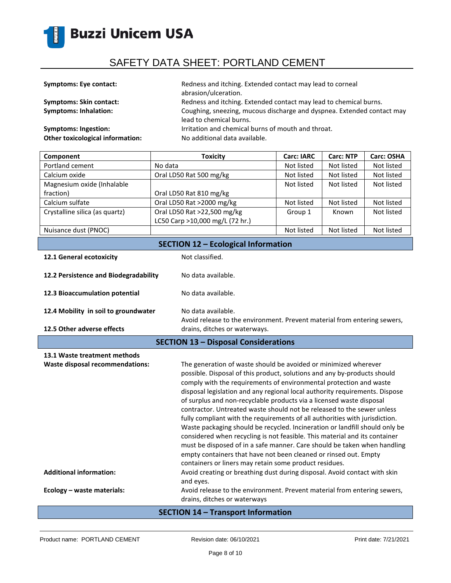

| <b>Symptoms: Eye contact:</b>           | Redness and itching. Extended contact may lead to corneal<br>abrasion/ulceration.                 |
|-----------------------------------------|---------------------------------------------------------------------------------------------------|
| <b>Symptoms: Skin contact:</b>          | Redness and itching. Extended contact may lead to chemical burns.                                 |
| <b>Symptoms: Inhalation:</b>            | Coughing, sneezing, mucous discharge and dyspnea. Extended contact may<br>lead to chemical burns. |
| <b>Symptoms: Ingestion:</b>             | Irritation and chemical burns of mouth and throat.                                                |
| <b>Other toxicological information:</b> | No additional data available.                                                                     |

| Component                                  | <b>Toxicity</b>                 | <b>Carc: IARC</b> | <b>Carc: NTP</b> | Carc: OSHA |
|--------------------------------------------|---------------------------------|-------------------|------------------|------------|
| Portland cement                            | No data                         | Not listed        | Not listed       | Not listed |
| Calcium oxide                              | Oral LD50 Rat 500 mg/kg         | Not listed        | Not listed       | Not listed |
| Magnesium oxide (Inhalable                 |                                 | Not listed        | Not listed       | Not listed |
| fraction)                                  | Oral LD50 Rat 810 mg/kg         |                   |                  |            |
| Calcium sulfate                            | Oral LD50 Rat >2000 mg/kg       | Not listed        | Not listed       | Not listed |
| Crystalline silica (as quartz)             | Oral LD50 Rat >22,500 mg/kg     | Group 1           | Known            | Not listed |
|                                            | LC50 Carp >10,000 mg/L (72 hr.) |                   |                  |            |
| Nuisance dust (PNOC)                       |                                 | Not listed        | Not listed       | Not listed |
| <b>SECTION 12 - Ecological Information</b> |                                 |                   |                  |            |

| 12.1 General ecotoxicity | Not classified. |
|--------------------------|-----------------|
|                          |                 |

| 12.2 Persistence and Biodegradability                              | No data available.                                                                                                                                                                                                                                                                                                                                                                                                                                                                                                                                                                                                                                                                                                                                                         |
|--------------------------------------------------------------------|----------------------------------------------------------------------------------------------------------------------------------------------------------------------------------------------------------------------------------------------------------------------------------------------------------------------------------------------------------------------------------------------------------------------------------------------------------------------------------------------------------------------------------------------------------------------------------------------------------------------------------------------------------------------------------------------------------------------------------------------------------------------------|
| 12.3 Bioaccumulation potential                                     | No data available.                                                                                                                                                                                                                                                                                                                                                                                                                                                                                                                                                                                                                                                                                                                                                         |
| 12.4 Mobility in soil to groundwater<br>12.5 Other adverse effects | No data available.<br>Avoid release to the environment. Prevent material from entering sewers,<br>drains, ditches or waterways.                                                                                                                                                                                                                                                                                                                                                                                                                                                                                                                                                                                                                                            |
|                                                                    | <b>SECTION 13 - Disposal Considerations</b>                                                                                                                                                                                                                                                                                                                                                                                                                                                                                                                                                                                                                                                                                                                                |
| 13.1 Waste treatment methods                                       |                                                                                                                                                                                                                                                                                                                                                                                                                                                                                                                                                                                                                                                                                                                                                                            |
| <b>Waste disposal recommendations:</b>                             | The generation of waste should be avoided or minimized wherever<br>possible. Disposal of this product, solutions and any by-products should<br>comply with the requirements of environmental protection and waste<br>disposal legislation and any regional local authority requirements. Dispose<br>of surplus and non-recyclable products via a licensed waste disposal<br>contractor. Untreated waste should not be released to the sewer unless<br>fully compliant with the requirements of all authorities with jurisdiction.<br>Waste packaging should be recycled. Incineration or landfill should only be<br>considered when recycling is not feasible. This material and its container<br>must be disposed of in a safe manner. Care should be taken when handling |

#### Additional information: **Avoid creating or breathing dust during disposal**. Avoid contact with skin

**Ecology – waste materials:** Avoid release to the environment. Prevent material from entering sewers,

drains, ditches or waterways

and eyes.

empty containers that have not been cleaned or rinsed out. Empty

containers or liners may retain some product residues.

### **SECTION 14 – Transport Information**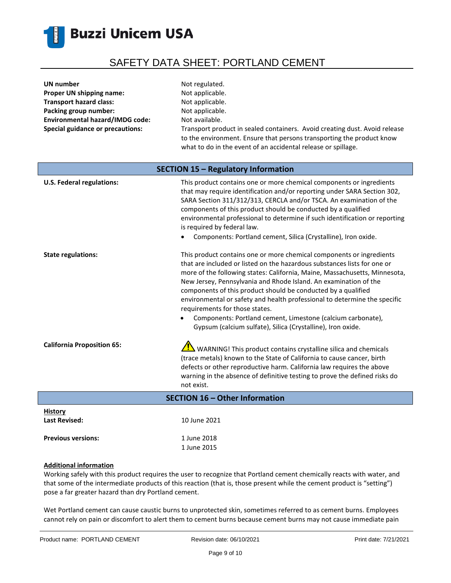

| UN number                               | Not regulated.                                                                                                                                                                                                       |
|-----------------------------------------|----------------------------------------------------------------------------------------------------------------------------------------------------------------------------------------------------------------------|
| Proper UN shipping name:                | Not applicable.                                                                                                                                                                                                      |
| <b>Transport hazard class:</b>          | Not applicable.                                                                                                                                                                                                      |
| Packing group number:                   | Not applicable.                                                                                                                                                                                                      |
| <b>Environmental hazard/IMDG code:</b>  | Not available.                                                                                                                                                                                                       |
| <b>Special guidance or precautions:</b> | Transport product in sealed containers. Avoid creating dust. Avoid release<br>to the environment. Ensure that persons transporting the product know<br>what to do in the event of an accidental release or spillage. |
| SECTION 15 - Regulatory Information     |                                                                                                                                                                                                                      |

| <b>U.S. Federal regulations:</b>       | This product contains one or more chemical components or ingredients<br>that may require identification and/or reporting under SARA Section 302,<br>SARA Section 311/312/313, CERCLA and/or TSCA. An examination of the<br>components of this product should be conducted by a qualified<br>environmental professional to determine if such identification or reporting<br>is required by federal law.<br>Components: Portland cement, Silica (Crystalline), Iron oxide.                                                                                                                                                      |
|----------------------------------------|-------------------------------------------------------------------------------------------------------------------------------------------------------------------------------------------------------------------------------------------------------------------------------------------------------------------------------------------------------------------------------------------------------------------------------------------------------------------------------------------------------------------------------------------------------------------------------------------------------------------------------|
| <b>State regulations:</b>              | This product contains one or more chemical components or ingredients<br>that are included or listed on the hazardous substances lists for one or<br>more of the following states: California, Maine, Massachusetts, Minnesota,<br>New Jersey, Pennsylvania and Rhode Island. An examination of the<br>components of this product should be conducted by a qualified<br>environmental or safety and health professional to determine the specific<br>requirements for those states.<br>Components: Portland cement, Limestone (calcium carbonate),<br>$\bullet$<br>Gypsum (calcium sulfate), Silica (Crystalline), Iron oxide. |
| <b>California Proposition 65:</b>      | WARNING! This product contains crystalline silica and chemicals<br>(trace metals) known to the State of California to cause cancer, birth<br>defects or other reproductive harm. California law requires the above<br>warning in the absence of definitive testing to prove the defined risks do<br>not exist.                                                                                                                                                                                                                                                                                                                |
|                                        | <b>SECTION 16 - Other Information</b>                                                                                                                                                                                                                                                                                                                                                                                                                                                                                                                                                                                         |
| <b>History</b><br><b>Last Revised:</b> | 10 June 2021                                                                                                                                                                                                                                                                                                                                                                                                                                                                                                                                                                                                                  |

### **Additional information**

Previous versions: 1 June 2018

Working safely with this product requires the user to recognize that Portland cement chemically reacts with water, and that some of the intermediate products of this reaction (that is, those present while the cement product is "setting") pose a far greater hazard than dry Portland cement.

1 June 2015

Wet Portland cement can cause caustic burns to unprotected skin, sometimes referred to as cement burns. Employees cannot rely on pain or discomfort to alert them to cement burns because cement burns may not cause immediate pain